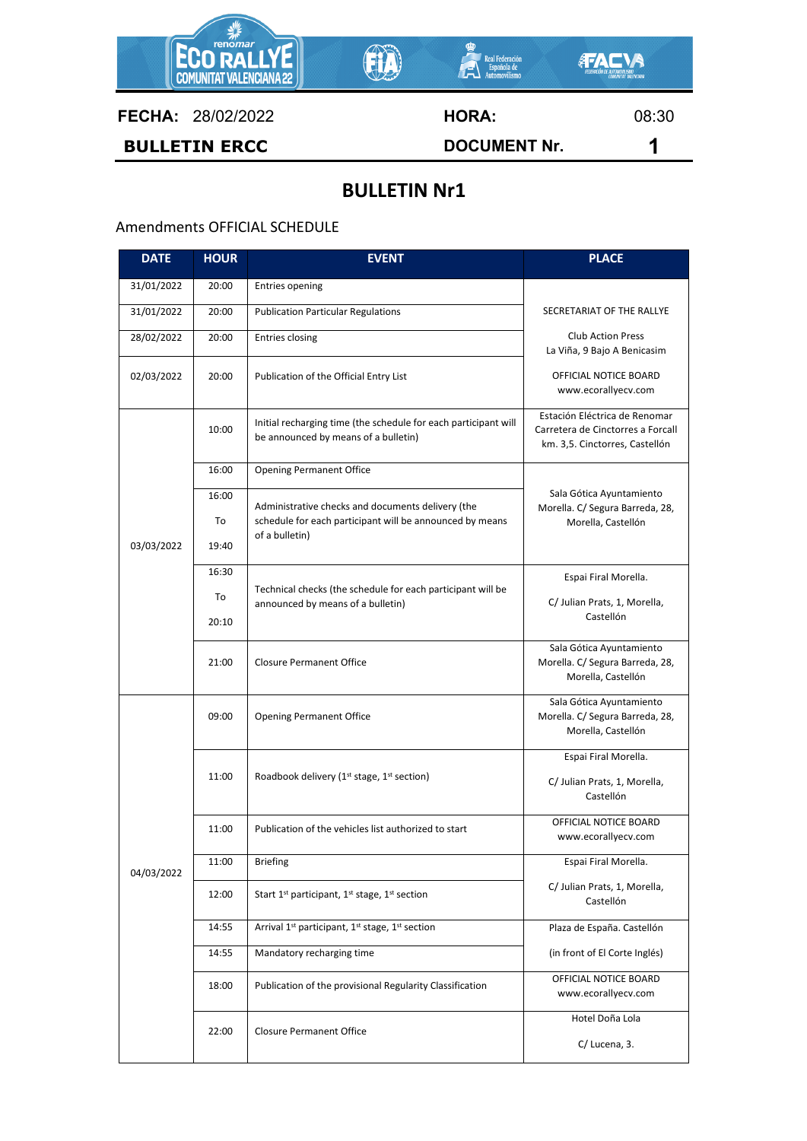

**FECHA:** 28/02/2022 **HORA:** 08:30

**BULLETIN ERCC DOCUMENT Nr. 1**

## **BULLETIN Nr1**

## Amendments OFFICIAL SCHEDULE

| <b>DATE</b> | <b>HOUR</b> | <b>EVENT</b>                                                                                                                    | <b>PLACE</b>                                                                                         |
|-------------|-------------|---------------------------------------------------------------------------------------------------------------------------------|------------------------------------------------------------------------------------------------------|
| 31/01/2022  | 20:00       | <b>Entries opening</b>                                                                                                          |                                                                                                      |
| 31/01/2022  | 20:00       | <b>Publication Particular Regulations</b>                                                                                       | SECRETARIAT OF THE RALLYE                                                                            |
| 28/02/2022  | 20:00       | <b>Entries closing</b>                                                                                                          | <b>Club Action Press</b><br>La Viña, 9 Bajo A Benicasim                                              |
| 02/03/2022  | 20:00       | Publication of the Official Entry List                                                                                          | OFFICIAL NOTICE BOARD<br>www.ecorallyecv.com                                                         |
| 03/03/2022  | 10:00       | Initial recharging time (the schedule for each participant will<br>be announced by means of a bulletin)                         | Estación Eléctrica de Renomar<br>Carretera de Cinctorres a Forcall<br>km. 3,5. Cinctorres, Castellón |
|             | 16:00       | <b>Opening Permanent Office</b>                                                                                                 |                                                                                                      |
|             | 16:00       | Administrative checks and documents delivery (the<br>schedule for each participant will be announced by means<br>of a bulletin) | Sala Gótica Ayuntamiento<br>Morella. C/ Segura Barreda, 28,<br>Morella, Castellón                    |
|             | To          |                                                                                                                                 |                                                                                                      |
|             | 19:40       |                                                                                                                                 |                                                                                                      |
|             | 16:30       | Technical checks (the schedule for each participant will be<br>announced by means of a bulletin)                                | Espai Firal Morella.                                                                                 |
|             | To          |                                                                                                                                 | C/ Julian Prats, 1, Morella,<br>Castellón                                                            |
|             | 20:10       |                                                                                                                                 |                                                                                                      |
|             | 21:00       | <b>Closure Permanent Office</b>                                                                                                 | Sala Gótica Ayuntamiento<br>Morella. C/ Segura Barreda, 28,<br>Morella, Castellón                    |
| 04/03/2022  | 09:00       | <b>Opening Permanent Office</b>                                                                                                 | Sala Gótica Ayuntamiento<br>Morella. C/ Segura Barreda, 28,<br>Morella, Castellón                    |
|             | 11:00       | Roadbook delivery (1 <sup>st</sup> stage, 1 <sup>st</sup> section)                                                              | Espai Firal Morella.                                                                                 |
|             |             |                                                                                                                                 | C/ Julian Prats, 1, Morella,<br>Castellón                                                            |
|             | 11:00       | Publication of the vehicles list authorized to start                                                                            | OFFICIAL NOTICE BOARD<br>www.ecorallyecv.com                                                         |
|             | 11:00       | <b>Briefing</b>                                                                                                                 | Espai Firal Morella.                                                                                 |
|             | 12:00       | Start $1^{st}$ participant, $1^{st}$ stage, $1^{st}$ section                                                                    | C/ Julian Prats, 1, Morella,<br>Castellón                                                            |
|             | 14:55       | Arrival 1 <sup>st</sup> participant, 1 <sup>st</sup> stage, 1 <sup>st</sup> section                                             | Plaza de España. Castellón                                                                           |
|             | 14:55       | Mandatory recharging time                                                                                                       | (in front of El Corte Inglés)                                                                        |
|             | 18:00       | Publication of the provisional Regularity Classification                                                                        | OFFICIAL NOTICE BOARD<br>www.ecorallyecv.com                                                         |
|             | 22:00       | <b>Closure Permanent Office</b>                                                                                                 | Hotel Doña Lola                                                                                      |
|             |             |                                                                                                                                 | C/ Lucena, 3.                                                                                        |